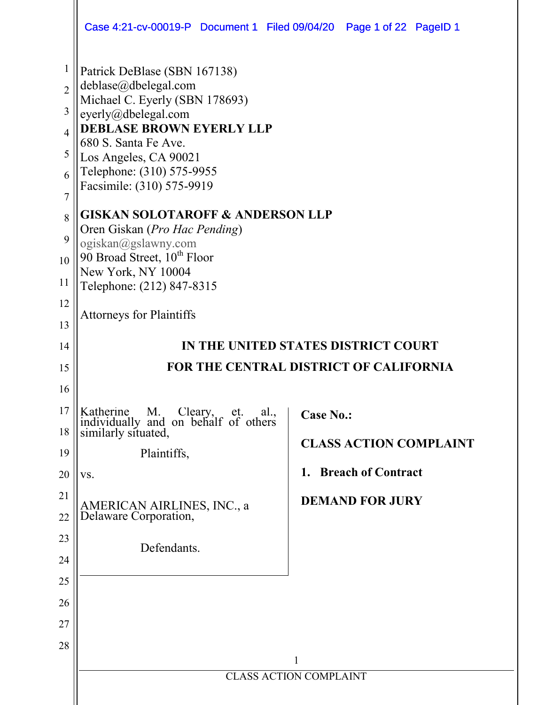|                                                                                                               | Case 4:21-cv-00019-P Document 1 Filed 09/04/20 Page 1 of 22 PageID 1                                                                                                                                                                                                                                                                                                                                                                                             |                                                                                                           |  |  |
|---------------------------------------------------------------------------------------------------------------|------------------------------------------------------------------------------------------------------------------------------------------------------------------------------------------------------------------------------------------------------------------------------------------------------------------------------------------------------------------------------------------------------------------------------------------------------------------|-----------------------------------------------------------------------------------------------------------|--|--|
| $\mathbf{1}$<br>$\overline{2}$<br>3<br>$\overline{4}$<br>5<br>6<br>$\overline{7}$<br>8<br>9<br>10<br>11<br>12 | Patrick DeBlase (SBN 167138)<br>deblase@dbelegal.com<br>Michael C. Eyerly (SBN 178693)<br>eyerly@dbelegal.com<br><b>DEBLASE BROWN EYERLY LLP</b><br>680 S. Santa Fe Ave.<br>Los Angeles, CA 90021<br>Telephone: (310) 575-9955<br>Facsimile: (310) 575-9919<br><b>GISKAN SOLOTAROFF &amp; ANDERSON LLP</b><br>Oren Giskan (Pro Hac Pending)<br>ogiskan@gslawny.com<br>90 Broad Street, 10 <sup>th</sup> Floor<br>New York, NY 10004<br>Telephone: (212) 847-8315 |                                                                                                           |  |  |
| 13                                                                                                            | <b>Attorneys for Plaintiffs</b>                                                                                                                                                                                                                                                                                                                                                                                                                                  |                                                                                                           |  |  |
| 14                                                                                                            | IN THE UNITED STATES DISTRICT COURT                                                                                                                                                                                                                                                                                                                                                                                                                              |                                                                                                           |  |  |
| 15                                                                                                            | <b>FOR THE CENTRAL DISTRICT OF CALIFORNIA</b>                                                                                                                                                                                                                                                                                                                                                                                                                    |                                                                                                           |  |  |
| 16                                                                                                            |                                                                                                                                                                                                                                                                                                                                                                                                                                                                  |                                                                                                           |  |  |
| 17<br>18<br>19<br>20<br>21<br>22<br>23<br>24<br>25<br>26<br>27<br>28                                          | Katherine M. Cleary, et. al., individually and on behalf of others similarly situated,<br>Plaintiffs,<br>VS.<br>AMERICAN AIRLINES, INC., a<br>Delaware Corporation,<br>Defendants.                                                                                                                                                                                                                                                                               | <b>Case No.:</b><br><b>CLASS ACTION COMPLAINT</b><br>1. Breach of Contract<br><b>DEMAND FOR JURY</b><br>1 |  |  |
|                                                                                                               |                                                                                                                                                                                                                                                                                                                                                                                                                                                                  | <b>CLASS ACTION COMPLAINT</b>                                                                             |  |  |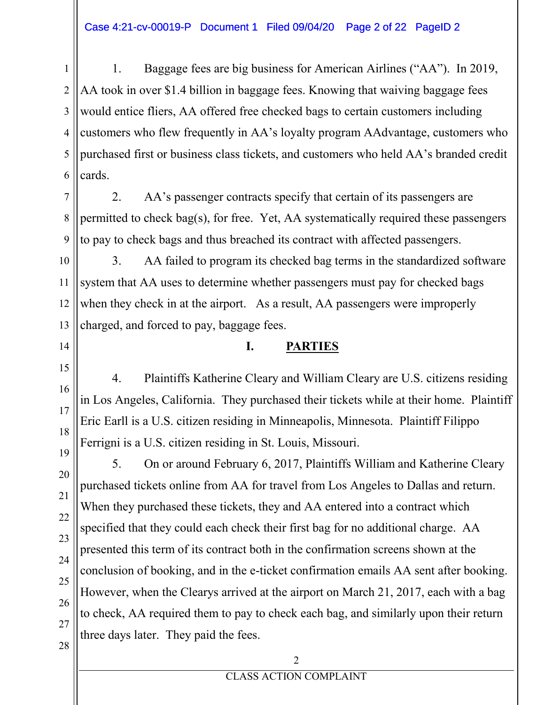1 2 3 4 5 6 1. Baggage fees are big business for American Airlines ("AA"). In 2019, AA took in over \$1.4 billion in baggage fees. Knowing that waiving baggage fees would entice fliers, AA offered free checked bags to certain customers including customers who flew frequently in AA's loyalty program AAdvantage, customers who purchased first or business class tickets, and customers who held AA's branded credit cards.

7 8 9 2. AA's passenger contracts specify that certain of its passengers are permitted to check bag(s), for free. Yet, AA systematically required these passengers to pay to check bags and thus breached its contract with affected passengers.

10 11 12 13 3. AA failed to program its checked bag terms in the standardized software system that AA uses to determine whether passengers must pay for checked bags when they check in at the airport. As a result, AA passengers were improperly charged, and forced to pay, baggage fees.

### **I. PARTIES**

4. Plaintiffs Katherine Cleary and William Cleary are U.S. citizens residing in Los Angeles, California. They purchased their tickets while at their home. Plaintiff Eric Earll is a U.S. citizen residing in Minneapolis, Minnesota. Plaintiff Filippo Ferrigni is a U.S. citizen residing in St. Louis, Missouri.

5. On or around February 6, 2017, Plaintiffs William and Katherine Cleary purchased tickets online from AA for travel from Los Angeles to Dallas and return. When they purchased these tickets, they and AA entered into a contract which specified that they could each check their first bag for no additional charge. AA presented this term of its contract both in the confirmation screens shown at the conclusion of booking, and in the e-ticket confirmation emails AA sent after booking. However, when the Clearys arrived at the airport on March 21, 2017, each with a bag to check, AA required them to pay to check each bag, and similarly upon their return three days later. They paid the fees.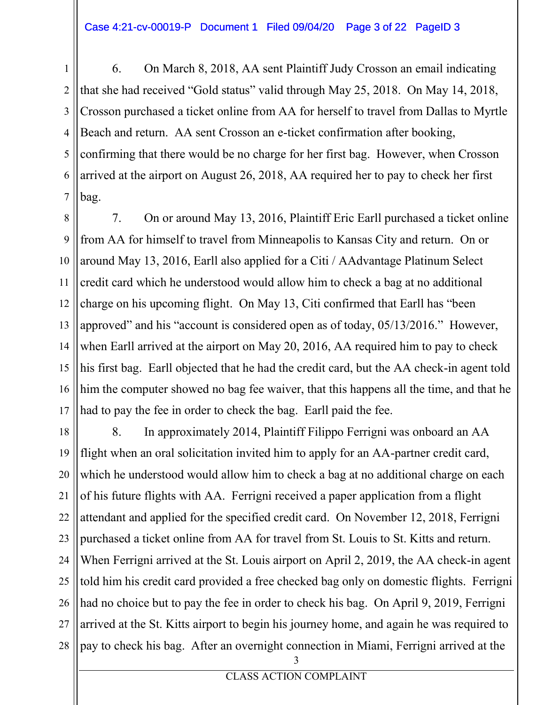1 2 3 4 5 6 7 6. On March 8, 2018, AA sent Plaintiff Judy Crosson an email indicating that she had received "Gold status" valid through May  $25$ ,  $2018$ . On May  $14$ ,  $2018$ , Crosson purchased a ticket online from AA for herself to travel from Dallas to Myrtle Beach and return. AA sent Crosson an e-ticket confirmation after booking, confirming that there would be no charge for her first bag. However, when Crosson arrived at the airport on August 26, 2018, AA required her to pay to check her first bag.

8 9 10 11 12 13 14 15 16 17 7. On or around May 13, 2016, Plaintiff Eric Earll purchased a ticket online from AA for himself to travel from Minneapolis to Kansas City and return. On or around May 13, 2016, Earll also applied for a Citi / AAdvantage Platinum Select credit card which he understood would allow him to check a bag at no additional charge on his upcoming flight. On May 13, Citi confirmed that Earll has "been approved" and his "account is considered open as of today,  $05/13/2016$ ." However, when Earll arrived at the airport on May 20, 2016, AA required him to pay to check his first bag. Earll objected that he had the credit card, but the AA check-in agent told him the computer showed no bag fee waiver, that this happens all the time, and that he had to pay the fee in order to check the bag. Earll paid the fee.

18 19 20 21 22 23 24 25 26 27 28 3 8. In approximately 2014, Plaintiff Filippo Ferrigni was onboard an AA flight when an oral solicitation invited him to apply for an AA-partner credit card, which he understood would allow him to check a bag at no additional charge on each of his future flights with AA. Ferrigni received a paper application from a flight attendant and applied for the specified credit card. On November 12, 2018, Ferrigni purchased a ticket online from AA for travel from St. Louis to St. Kitts and return. When Ferrigni arrived at the St. Louis airport on April 2, 2019, the AA check-in agent told him his credit card provided a free checked bag only on domestic flights. Ferrigni had no choice but to pay the fee in order to check his bag. On April 9, 2019, Ferrigni arrived at the St. Kitts airport to begin his journey home, and again he was required to pay to check his bag. After an overnight connection in Miami, Ferrigni arrived at the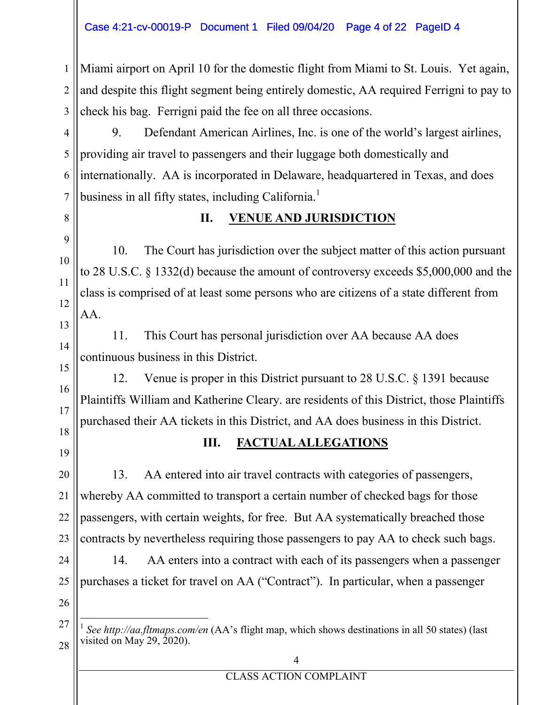#### Case 4:21-cv-00019-P Document 1 Filed 09/04/20 Page 4 of 22 PageID 4

1 2 3 Miami airport on April 10 for the domestic flight from Miami to St. Louis. Yet again, and despite this flight segment being entirely domestic, AA required Ferrigni to pay to check his bag. Ferrigni paid the fee on all three occasions.

4 5 6 7 9. Defendant American Airlines, Inc. is one of the world's largest airlines, providing air travel to passengers and their luggage both domestically and internationally. AA is incorporated in Delaware, headquartered in Texas, and does business in all fifty states, including California.<sup>1</sup>

### 8

9

10

11

12

13

14

15

16

17

### **II. VENUE AND JURISDICTION**

10. The Court has jurisdiction over the subject matter of this action pursuant to 28 U.S.C. § 1332(d) because the amount of controversy exceeds \$5,000,000 and the class is comprised of at least some persons who are citizens of a state different from AA.

11. This Court has personal jurisdiction over AA because AA does continuous business in this District.

12. Venue is proper in this District pursuant to 28 U.S.C. § 1391 because Plaintiffs William and Katherine Cleary. are residents of this District, those Plaintiffs purchased their AA tickets in this District, and AA does business in this District.

### 18 19

### **III. FACTUAL ALLEGATIONS**

20 21 22 23 13. AA entered into air travel contracts with categories of passengers, whereby AA committed to transport a certain number of checked bags for those passengers, with certain weights, for free. But AA systematically breached those contracts by nevertheless requiring those passengers to pay AA to check such bags.

24 25 26 14. AA enters into a contract with each of its passengers when a passenger purchases a ticket for travel on AA ("Contract"). In particular, when a passenger

<sup>27</sup> 28 <sup>1</sup> See<http://aa.fltmaps.com/en> (AA's flight map, which shows destinations in all 50 states) (last visited on May 29, 2020).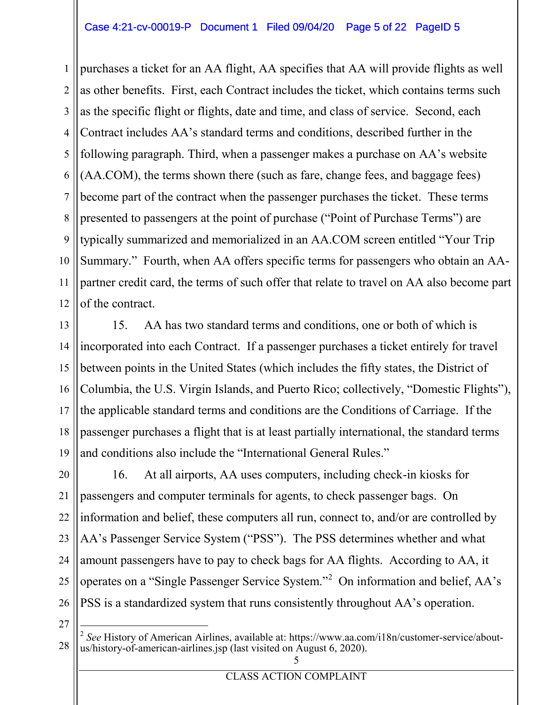#### Case 4:21-cv-00019-P Document 1 Filed 09/04/20 Page 5 of 22 PageID 5

1 2 3 4 5 6 7 8 9 10 11 12 purchases a ticket for an AA flight, AA specifies that AA will provide flights as well as other benefits. First, each Contract includes the ticket, which contains terms such as the specific flight or flights, date and time, and class of service. Second, each Contract includes AA's standard terms and conditions, described further in the following paragraph. Third, when a passenger makes a purchase on AA's website (AA.COM), the terms shown there (such as fare, change fees, and baggage fees) become part of the contract when the passenger purchases the ticket. These terms presented to passengers at the point of purchase ("Point of Purchase Terms") are typically summarized and memorialized in an AA.COM screen entitled "Your Trip" Summary." Fourth, when AA offers specific terms for passengers who obtain an AApartner credit card, the terms of such offer that relate to travel on AA also become part of the contract.

13 14 15 16 17 18 19 15. AA has two standard terms and conditions, one or both of which is incorporated into each Contract. If a passenger purchases a ticket entirely for travel between points in the United States (which includes the fifty states, the District of Columbia, the U.S. Virgin Islands, and Puerto Rico; collectively, "Domestic Flights"), the applicable standard terms and conditions are the Conditions of Carriage. If the passenger purchases a flight that is at least partially international, the standard terms and conditions also include the "International General Rules."

20 21 22 23 24 25 26 16. At all airports, AA uses computers, including check-in kiosks for passengers and computer terminals for agents, to check passenger bags. On information and belief, these computers all run, connect to, and/or are controlled by AA's Passenger Service System ("PSS"). The PSS determines whether and what amount passengers have to pay to check bags for AA flights. According to AA, it operates on a "Single Passenger Service System."<sup>2</sup> On information and belief,  $AA$ 's PSS is a standardized system that runs consistently throughout AA's operation.

<sup>28</sup> 5 <sup>2</sup> See History of American Airlines, available at: [https://www.aa.com/i18n/customer-service/about-](https://www.aa.com/i18n/customer-service/about-us/history-of-american-airlines.jsp)<br>[us/history-of-american-airlines.jsp](https://www.aa.com/i18n/customer-service/about-us/history-of-american-airlines.jsp) (last visited on August 6, 2020).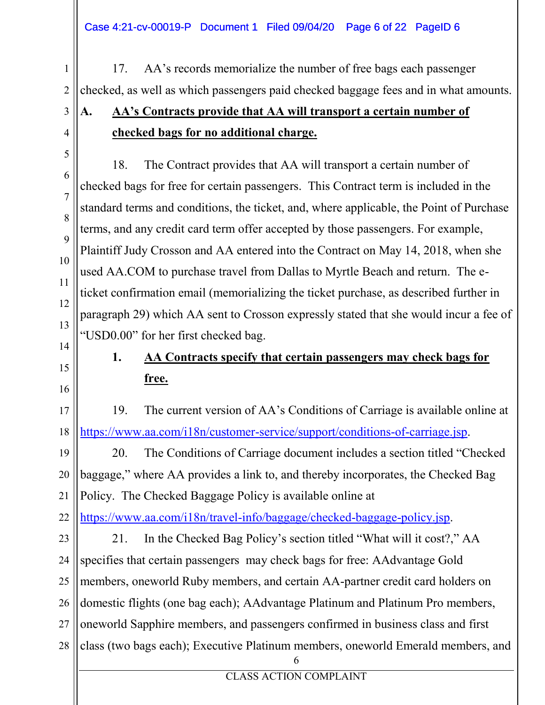Case 4:21-cv-00019-P Document 1 Filed 09/04/20 Page 6 of 22 PageID 6

1 2 17. AA's records memorialize the number of free bags each passenger checked, as well as which passengers paid checked baggage fees and in what amounts.

# **A. AA's Contracts provide that AA will transport a certain number of checked bags for no additional charge.**

18. The Contract provides that AA will transport a certain number of checked bags for free for certain passengers. This Contract term is included in the standard terms and conditions, the ticket, and, where applicable, the Point of Purchase terms, and any credit card term offer accepted by those passengers. For example, Plaintiff Judy Crosson and AA entered into the Contract on May 14, 2018, when she used AA.COM to purchase travel from Dallas to Myrtle Beach and return. The eticket confirmation email (memorializing the ticket purchase, as described further in paragraph 29) which AA sent to Crosson expressly stated that she would incur a fee of "USD0.00" for her first checked bag.

# 15

16

3

4

5

6

7

8

9

10

11

12

13

14

## **1. AA Contracts specify that certain passengers may check bags for free.**

17 18 19. The current version of AA's Conditions of Carriage is available online at [https://www.aa.com/i18n/customer-service/support/conditions-of-carriage.jsp.](https://www.aa.com/i18n/customer-service/support/conditions-of-carriage.jsp)

19 20 21 20. The Conditions of Carriage document includes a section titled "Checked" baggage," where AA provides a link to, and thereby incorporates, the Checked Bag Policy. The Checked Baggage Policy is available online at

22 [https://www.aa.com/i18n/travel-info/baggage/checked-baggage-policy.jsp.](https://www.aa.com/i18n/travel-info/baggage/checked-baggage-policy.jsp)

23 24 25 26 27 28 6 21. In the Checked Bag Policy's section titled "What will it cost?," AA specifies that certain passengers may check bags for free: AAdvantage Gold members, oneworld Ruby members, and certain AA-partner credit card holders on domestic flights (one bag each); AAdvantage Platinum and Platinum Pro members, oneworld Sapphire members, and passengers confirmed in business class and first class (two bags each); Executive Platinum members, oneworld Emerald members, and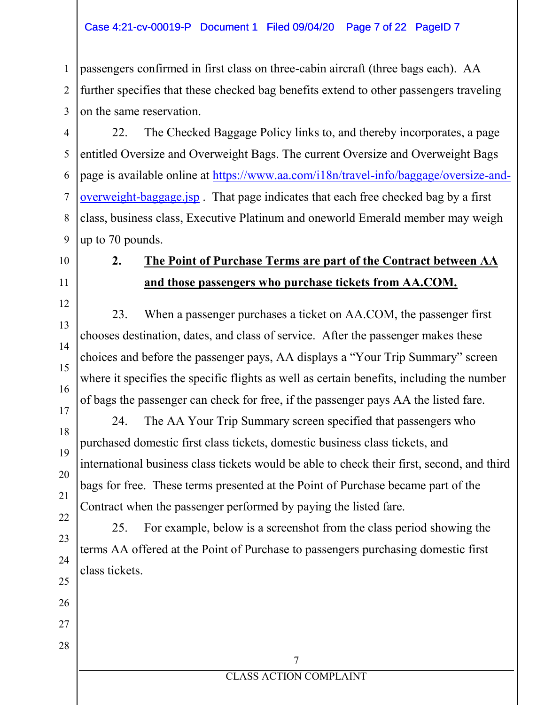#### Case 4:21-cv-00019-P Document 1 Filed 09/04/20 Page 7 of 22 PageID 7

1 2 3 passengers confirmed in first class on three-cabin aircraft (three bags each). AA further specifies that these checked bag benefits extend to other passengers traveling on the same reservation.

4 5 6 7 8 9 22. The Checked Baggage Policy links to, and thereby incorporates, a page entitled Oversize and Overweight Bags. The current Oversize and Overweight Bags page is available online at [https://www.aa.com/i18n/travel-info/baggage/oversize-and](https://www.aa.com/i18n/travel-info/baggage/oversize-and-overweight-baggage.jsp)[overweight-baggage.jsp](https://www.aa.com/i18n/travel-info/baggage/oversize-and-overweight-baggage.jsp) . That page indicates that each free checked bag by a first class, business class, Executive Platinum and oneworld Emerald member may weigh up to 70 pounds.

### 10

11

12

13

14

15

16

### **2. The Point of Purchase Terms are part of the Contract between AA and those passengers who purchase tickets from AA.COM.**

23. When a passenger purchases a ticket on AA.COM, the passenger first chooses destination, dates, and class of service. After the passenger makes these choices and before the passenger pays, AA displays a "Your Trip Summary" screen where it specifies the specific flights as well as certain benefits, including the number of bags the passenger can check for free, if the passenger pays AA the listed fare.

### 17 18 19 20

25

26

27

28

24. The AA Your Trip Summary screen specified that passengers who purchased domestic first class tickets, domestic business class tickets, and international business class tickets would be able to check their first, second, and third bags for free. These terms presented at the Point of Purchase became part of the Contract when the passenger performed by paying the listed fare.

25. For example, below is a screenshot from the class period showing the terms AA offered at the Point of Purchase to passengers purchasing domestic first class tickets.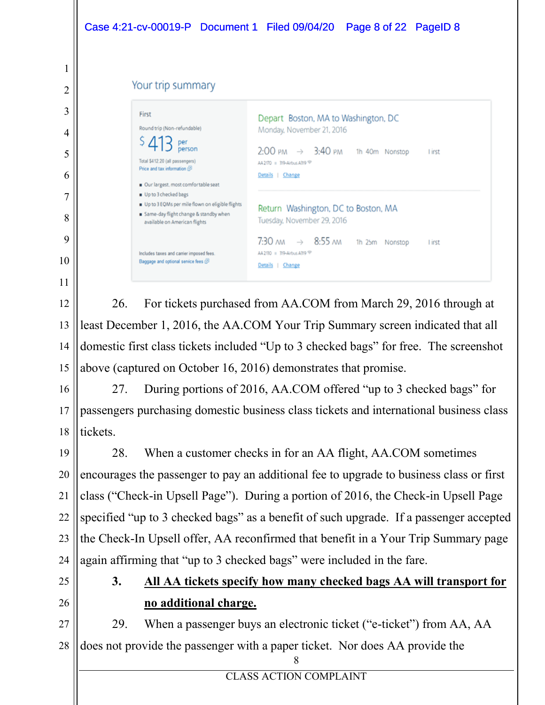|                | Case 4:21-cv-00019-P Document 1 Filed 09/04/20 Page 8 of 22 PageID 8                                                                                                                                                                                                                                  |  |  |  |  |
|----------------|-------------------------------------------------------------------------------------------------------------------------------------------------------------------------------------------------------------------------------------------------------------------------------------------------------|--|--|--|--|
| 1<br>2         | Your trip summary                                                                                                                                                                                                                                                                                     |  |  |  |  |
| 3<br>4<br>5    | First<br>Depart Boston, MA to Washington, DC<br>Round trip (Non-refundable)<br>Monday, November 21, 2016<br>person<br>$2:00 \text{ PM} \rightarrow 3:40 \text{ PM}$ 1h 40m Nonstop<br><b>l</b> irst<br>Total \$412.20 (all passengers)<br>AA2170 = 319-Airbus A319 =<br>Price and tax information (5) |  |  |  |  |
| 6<br>7<br>8    | Details   Change<br>Our largest, most comfortable seat<br>Up to 3 checked bags<br>Up to 3 EQMs per mile flown on eligible flights<br>Return Washington, DC to Boston, MA<br>Same-day flight change & standby when<br>Tuesday, November 29, 2016<br>available on American flights                      |  |  |  |  |
| 9<br>10<br>11  | $\rightarrow$ 8:55 $\mu$<br>7:30 лм<br>1h 25m Nonstop<br><b>l</b> irst<br>AA2130 = 319-Airbus A319 <a><br/>Includes taxes and carrier imposed fees.<br/>Baggage and optional service fees (5)<br/>Details   Change</a>                                                                                |  |  |  |  |
| 12<br>13       | 26.<br>For tickets purchased from AA.COM from March 29, 2016 through at<br>least December 1, 2016, the AA.COM Your Trip Summary screen indicated that all                                                                                                                                             |  |  |  |  |
| 14<br>15<br>16 | domestic first class tickets included "Up to 3 checked bags" for free. The screenshot<br>above (captured on October 16, 2016) demonstrates that promise.<br>During portions of 2016, AA.COM offered "up to 3 checked bags" for<br>27                                                                  |  |  |  |  |
| 17<br>18       | passengers purchasing domestic business class tickets and international business class<br>tickets.                                                                                                                                                                                                    |  |  |  |  |
| 19<br>20<br>21 | When a customer checks in for an AA flight, AA.COM sometimes<br>28.<br>encourages the passenger to pay an additional fee to upgrade to business class or first<br>class ("Check-in Upsell Page"). During a portion of 2016, the Check-in Upsell Page                                                  |  |  |  |  |
| 22<br>23       | specified "up to 3 checked bags" as a benefit of such upgrade. If a passenger accepted<br>the Check-In Upsell offer, AA reconfirmed that benefit in a Your Trip Summary page                                                                                                                          |  |  |  |  |
| 24<br>25<br>26 | again affirming that "up to 3 checked bags" were included in the fare.<br>3.<br>All AA tickets specify how many checked bags AA will transport for                                                                                                                                                    |  |  |  |  |
| 27<br>28       | no additional charge.<br>When a passenger buys an electronic ticket ("e-ticket") from AA, AA<br>29.<br>does not provide the passenger with a paper ticket. Nor does AA provide the<br>8                                                                                                               |  |  |  |  |

CLASS ACTION COMPLAINT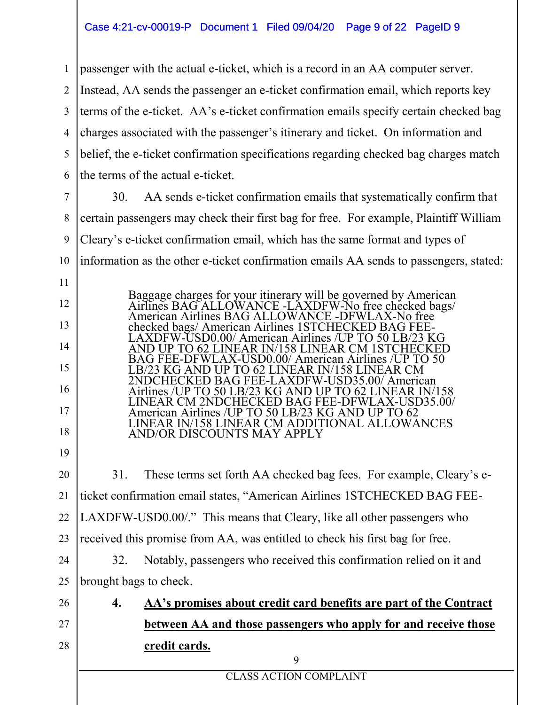#### Case 4:21-cv-00019-P Document 1 Filed 09/04/20 Page 9 of 22 PageID 9

1 2 3 4 5 6 passenger with the actual e-ticket, which is a record in an AA computer server. Instead, AA sends the passenger an e-ticket confirmation email, which reports key terms of the e-ticket. AA's e-ticket confirmation emails specify certain checked bag charges associated with the passenger's itinerary and ticket. On information and belief, the e-ticket confirmation specifications regarding checked bag charges match the terms of the actual e-ticket.

7

9

11

12

13

14

15

16

17

18

19

8 10 30. AA sends e-ticket confirmation emails that systematically confirm that certain passengers may check their first bag for free. For example, Plaintiff William Cleary's e-ticket confirmation email, which has the same format and types of information as the other e-ticket confirmation emails AA sends to passengers, stated:

> Baggage charges for your itinerary will be governed by American Airlines BAG ALLOWANCE -LAXDFW-No free checked bags/ American Airlines BAG ALLOWANCE -DFWLAX-No free checked bags/ American Airlines 1STCHECKED BAG FEE- LAXDFW-USD0.00/ American Airlines /UP TO 50 LB/23 KG AND UP TO 62 LINEAR IN/158 LINEAR CM 1STCHECKED BAG FEE-DFWLAX-USD0.00/ American Airlines /UP TO 50 LB/23 KG AND UP TO 62 LINEAR IN/158 LINEAR CM 2NDCHECKED BAG FEE-LAXDFW-USD35.00/ American Airlines /UP TO 50 LB/23 KG AND UP TO 62 LINEAR IN/158 LINEAR CM 2NDCHECKED BAG FEE-DFWLAX-USD35.00/ American Airlines /UP TO 50 LB/23 KG AND UP TO 62 LINEAR IN/158 LINEAR CM ADDITIONAL ALLOWANCES AND/OR DISCOUNTS MAY APPLY

20 21 22 23 31. These terms set forth AA checked bag fees. For example, Cleary's eticket confirmation email states, "American Airlines 1STCHECKED BAG FEE-LAXDFW-USD0.00/." This means that Cleary, like all other passengers who received this promise from AA, was entitled to check his first bag for free.

24 25 32. Notably, passengers who received this confirmation relied on it and brought bags to check.

26

27

28

**4. AA's promises about credit card benefits are part of the Contract between AA and those passengers who apply for and receive those credit cards.**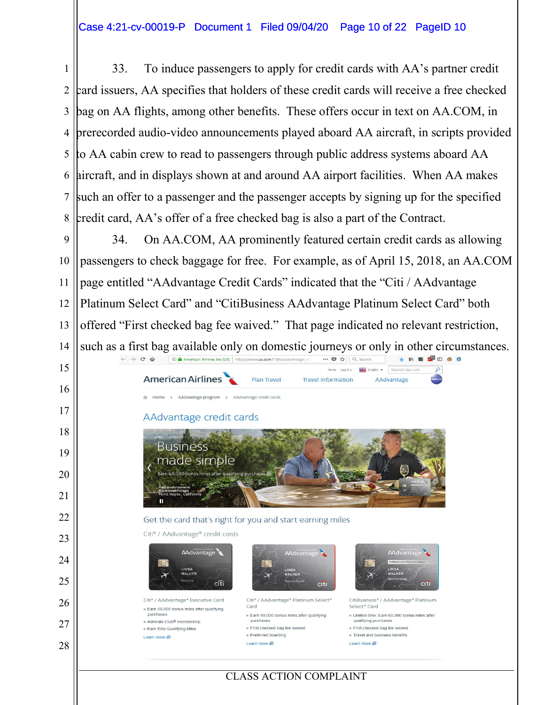33. To induce passengers to apply for credit cards with AA's partner credit card issuers, AA specifies that holders of these credit cards will receive a free checked bag on AA flights, among other benefits. These offers occur in text on AA.COM, in prerecorded audio-video announcements played aboard AA aircraft, in scripts provided to AA cabin crew to read to passengers through public address systems aboard AA aircraft, and in displays shown at and around AA airport facilities. When AA makes such an offer to a passenger and the passenger accepts by signing up for the specified credit card, AA's offer of a free checked bag is also a part of the Contract.

 34. On AA.COM, AA prominently featured certain credit cards as allowing passengers to check baggage for free. For example, as of April 15, 2018, an AA.COM page entitled "AAdvantage Credit Cards" indicated that the "Citi / AAdvantage Platinum Select Card" and "CitiBusiness AAdvantage Platinum Select Card" both offered "First checked bag fee waived." That page indicated no relevant restriction, such as a first bag available only on domestic journeys or only in other circumstances.

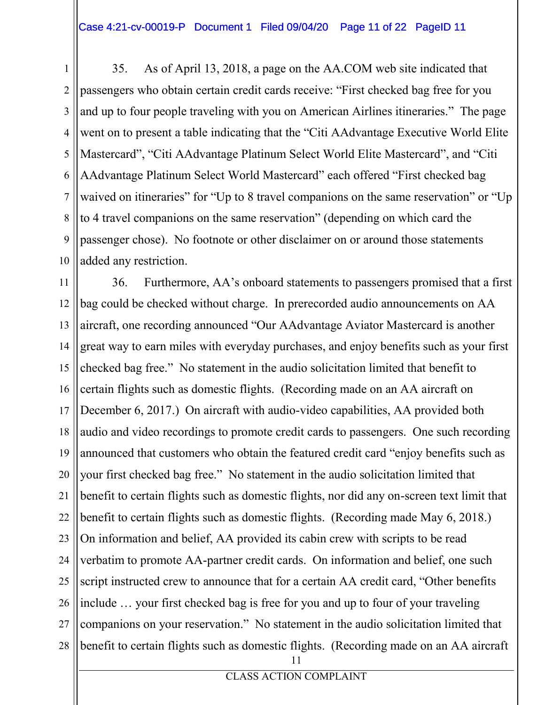1 2 3 4 5 6 7 8 9 10 35. As of April 13, 2018, a page on the AA.COM web site indicated that passengers who obtain certain credit cards receive: "First checked bag free for you and up to four people traveling with you on American Airlines itineraries." The page went on to present a table indicating that the "Citi AAdvantage Executive World Elite Mastercard", "Citi AAdvantage Platinum Select World Elite Mastercard", and "Citi AAdvantage Platinum Select World Mastercard" each offered "First checked bag waived on itineraries" for "Up to 8 travel companions on the same reservation" or "Up to 4 travel companions on the same reservation" (depending on which card the passenger chose). No footnote or other disclaimer on or around those statements added any restriction.

11 12 13 14 15 16 17 18 19 20 21 22 23 24 25 26 27 28 11 36. Furthermore, AA's onboard statements to passengers promised that a first bag could be checked without charge. In prerecorded audio announcements on AA aircraft, one recording announced "Our AAdvantage Aviator Mastercard is another great way to earn miles with everyday purchases, and enjoy benefits such as your first checked bag free." No statement in the audio solicitation limited that benefit to certain flights such as domestic flights. (Recording made on an AA aircraft on December 6, 2017.) On aircraft with audio-video capabilities, AA provided both audio and video recordings to promote credit cards to passengers. One such recording announced that customers who obtain the featured credit card "enjoy benefits such as your first checked bag free." No statement in the audio solicitation limited that benefit to certain flights such as domestic flights, nor did any on-screen text limit that benefit to certain flights such as domestic flights. (Recording made May 6, 2018.) On information and belief, AA provided its cabin crew with scripts to be read verbatim to promote AA-partner credit cards. On information and belief, one such script instructed crew to announce that for a certain AA credit card, "Other benefits include  $\ldots$  your first checked bag is free for you and up to four of your traveling companions on your reservation." No statement in the audio solicitation limited that benefit to certain flights such as domestic flights. (Recording made on an AA aircraft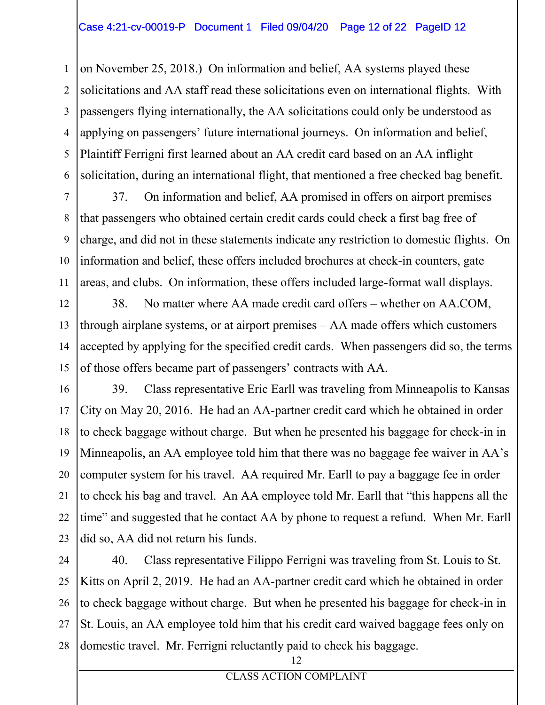#### Case 4:21-cv-00019-P Document 1 Filed 09/04/20 Page 12 of 22 PageID 12

1 2 3 4 5 6 on November 25, 2018.) On information and belief, AA systems played these solicitations and AA staff read these solicitations even on international flights. With passengers flying internationally, the AA solicitations could only be understood as applying on passengers' future international journeys. On information and belief, Plaintiff Ferrigni first learned about an AA credit card based on an AA inflight solicitation, during an international flight, that mentioned a free checked bag benefit.

7 8 9 10 11 37. On information and belief, AA promised in offers on airport premises that passengers who obtained certain credit cards could check a first bag free of charge, and did not in these statements indicate any restriction to domestic flights. On information and belief, these offers included brochures at check-in counters, gate areas, and clubs. On information, these offers included large-format wall displays.

12 13 14 15 38. No matter where AA made credit card offers – whether on AA.COM, through airplane systems, or at airport premises  $-\overline{AA}$  made offers which customers accepted by applying for the specified credit cards. When passengers did so, the terms of those offers became part of passengers' contracts with AA.

16 17 18 19 20 21 22 23 39. Class representative Eric Earll was traveling from Minneapolis to Kansas City on May 20, 2016. He had an AA-partner credit card which he obtained in order to check baggage without charge. But when he presented his baggage for check-in in Minneapolis, an AA employee told him that there was no baggage fee waiver in AA's computer system for his travel. AA required Mr. Earll to pay a baggage fee in order to check his bag and travel. An AA employee told Mr. Earll that "this happens all the time" and suggested that he contact AA by phone to request a refund. When Mr. Earll did so, AA did not return his funds.

24 25 26 27 28 40. Class representative Filippo Ferrigni was traveling from St. Louis to St. Kitts on April 2, 2019. He had an AA-partner credit card which he obtained in order to check baggage without charge. But when he presented his baggage for check-in in St. Louis, an AA employee told him that his credit card waived baggage fees only on domestic travel. Mr. Ferrigni reluctantly paid to check his baggage.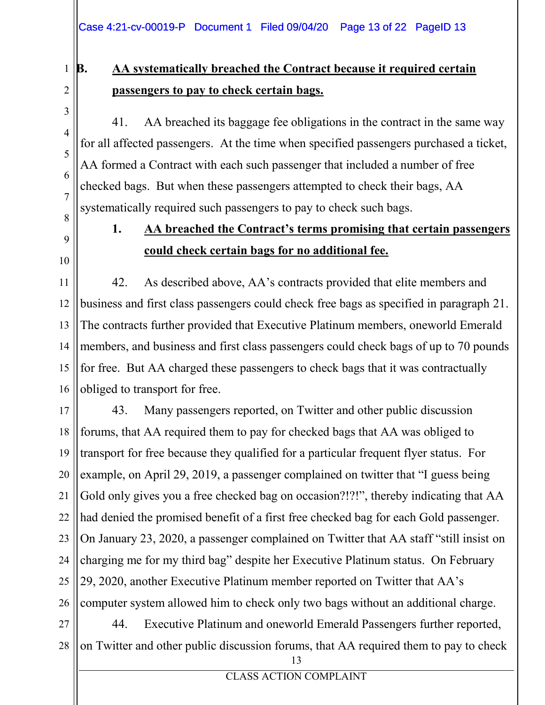#### 1 **B. AA systematically breached the Contract because it required certain passengers to pay to check certain bags.**

41. AA breached its baggage fee obligations in the contract in the same way for all affected passengers. At the time when specified passengers purchased a ticket, AA formed a Contract with each such passenger that included a number of free checked bags. But when these passengers attempted to check their bags, AA systematically required such passengers to pay to check such bags.

8 9

10

2

3

4

5

6

7

### **1. AA** breached the Contract's terms promising that certain passengers **could check certain bags for no additional fee.**

11 12 13 14 15 16 42. As described above, AA's contracts provided that elite members and business and first class passengers could check free bags as specified in paragraph 21. The contracts further provided that Executive Platinum members, oneworld Emerald members, and business and first class passengers could check bags of up to 70 pounds for free. But AA charged these passengers to check bags that it was contractually obliged to transport for free.

17 18 19 20 21 22 23 24 25 26 43. Many passengers reported, on Twitter and other public discussion forums, that AA required them to pay for checked bags that AA was obliged to transport for free because they qualified for a particular frequent flyer status. For example, on April 29, 2019, a passenger complained on twitter that "I guess being Gold only gives you a free checked bag on occasion?!?!", thereby indicating that AA had denied the promised benefit of a first free checked bag for each Gold passenger. On January 23, 2020, a passenger complained on Twitter that AA staff "still insist on charging me for my third bag" despite her Executive Platinum status. On February 29, 2020, another Executive Platinum member reported on Twitter that AA's computer system allowed him to check only two bags without an additional charge.

27 28 44. Executive Platinum and oneworld Emerald Passengers further reported, on Twitter and other public discussion forums, that AA required them to pay to check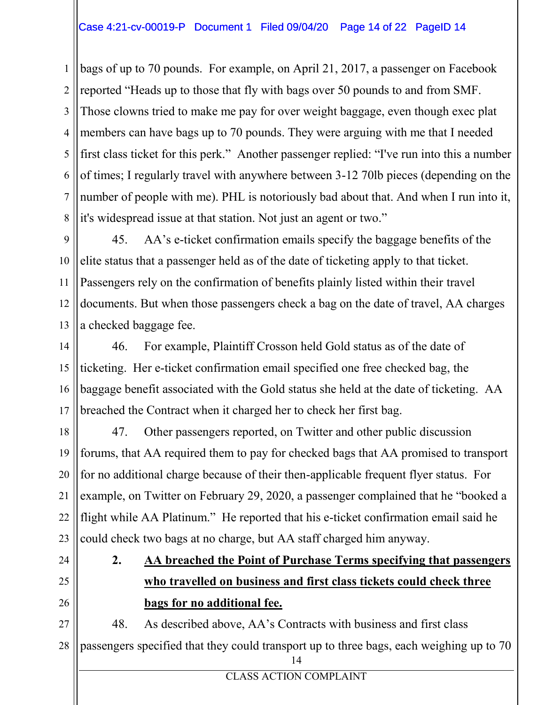#### Case 4:21-cv-00019-P Document 1 Filed 09/04/20 Page 14 of 22 PageID 14

1 2 3 4 5 6 7 8 bags of up to 70 pounds. For example, on April 21, 2017, a passenger on Facebook reported "Heads up to those that fly with bags over 50 pounds to and from SMF. Those clowns tried to make me pay for over weight baggage, even though exec plat members can have bags up to 70 pounds. They were arguing with me that I needed first class ticket for this perk." Another passenger replied: "I've run into this a number of times; I regularly travel with anywhere between 3-12 70lb pieces (depending on the number of people with me). PHL is notoriously bad about that. And when I run into it, it's widespread issue at that station. Not just an agent or two."

9 10 11 12 13 45. AA's e-ticket confirmation emails specify the baggage benefits of the elite status that a passenger held as of the date of ticketing apply to that ticket. Passengers rely on the confirmation of benefits plainly listed within their travel documents. But when those passengers check a bag on the date of travel, AA charges a checked baggage fee.

14 15 16 17 46. For example, Plaintiff Crosson held Gold status as of the date of ticketing. Her e-ticket confirmation email specified one free checked bag, the baggage benefit associated with the Gold status she held at the date of ticketing. AA breached the Contract when it charged her to check her first bag.

18 19 20 21 22 23 47. Other passengers reported, on Twitter and other public discussion forums, that AA required them to pay for checked bags that AA promised to transport for no additional charge because of their then-applicable frequent flyer status. For example, on Twitter on February 29, 2020, a passenger complained that he "booked a flight while AA Platinum.<sup>"</sup> He reported that his e-ticket confirmation email said he could check two bags at no charge, but AA staff charged him anyway.

24

25 26

### **2. AA breached the Point of Purchase Terms specifying that passengers who travelled on business and first class tickets could check three bags for no additional fee.**

27 28 14 48. As described above, AA's Contracts with business and first class passengers specified that they could transport up to three bags, each weighing up to 70

CLASS ACTION COMPLAINT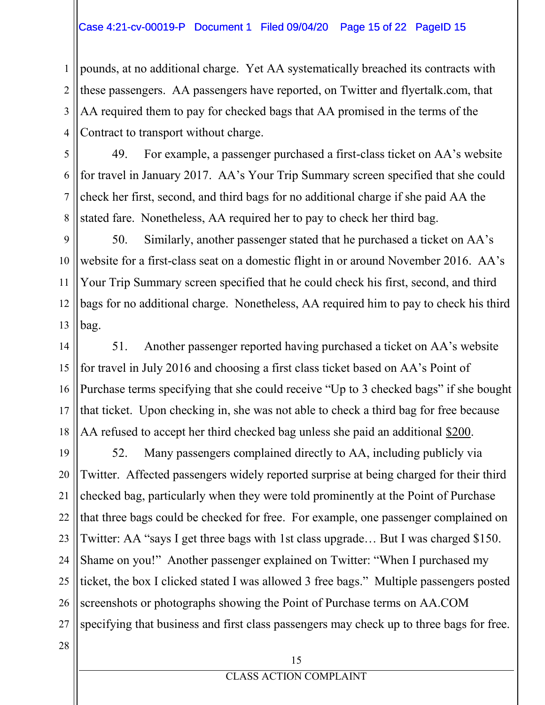#### Case 4:21-cv-00019-P Document 1 Filed 09/04/20 Page 15 of 22 PageID 15

1 2 3 4 pounds, at no additional charge. Yet AA systematically breached its contracts with these passengers. AA passengers have reported, on Twitter and flyertalk.com, that AA required them to pay for checked bags that AA promised in the terms of the Contract to transport without charge.

5 6 7 8 49. For example, a passenger purchased a first-class ticket on AA's website for travel in January 2017. AA's Your Trip Summary screen specified that she could check her first, second, and third bags for no additional charge if she paid AA the stated fare. Nonetheless, AA required her to pay to check her third bag.

9 10 11 12 13 50. Similarly, another passenger stated that he purchased a ticket on  $AA$ 's website for a first-class seat on a domestic flight in or around November 2016. AA's Your Trip Summary screen specified that he could check his first, second, and third bags for no additional charge. Nonetheless, AA required him to pay to check his third bag.

14 15 16 17 18 51. Another passenger reported having purchased a ticket on AA's website for travel in July 2016 and choosing a first class ticket based on AA's Point of Purchase terms specifying that she could receive "Up to 3 checked bags" if she bought that ticket. Upon checking in, she was not able to check a third bag for free because AA refused to accept her third checked bag unless she paid an additional \$200.

19 20 21 22 23 24 25 26 27 52. Many passengers complained directly to AA, including publicly via Twitter. Affected passengers widely reported surprise at being charged for their third checked bag, particularly when they were told prominently at the Point of Purchase that three bags could be checked for free. For example, one passenger complained on Twitter: AA "says I get three bags with 1st class upgrade... But I was charged \$150. Shame on you!" Another passenger explained on Twitter: "When I purchased my ticket, the box I clicked stated I was allowed 3 free bags." Multiple passengers posted screenshots or photographs showing the Point of Purchase terms on AA.COM specifying that business and first class passengers may check up to three bags for free.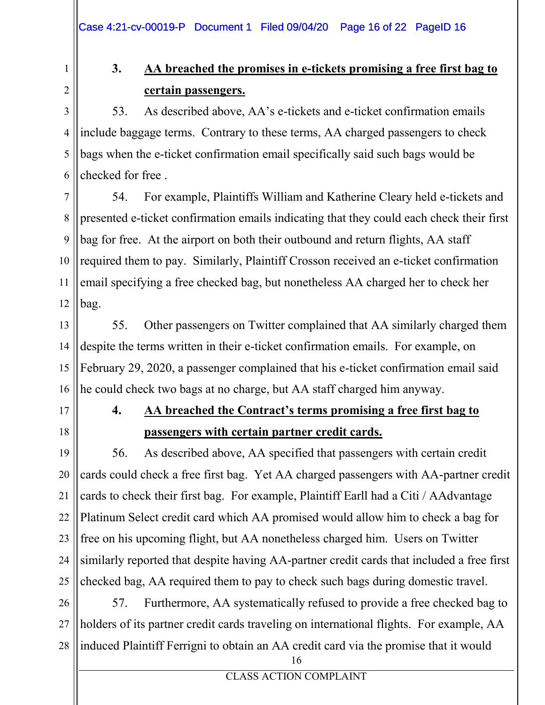### 1 2

### **3. AA breached the promises in e-tickets promising a free first bag to certain passengers.**

3 4 5 6 53. As described above, AA's e-tickets and e-ticket confirmation emails include baggage terms. Contrary to these terms, AA charged passengers to check bags when the e-ticket confirmation email specifically said such bags would be checked for free .

7 8 9 10 11 12 54. For example, Plaintiffs William and Katherine Cleary held e-tickets and presented e-ticket confirmation emails indicating that they could each check their first bag for free. At the airport on both their outbound and return flights, AA staff required them to pay. Similarly, Plaintiff Crosson received an e-ticket confirmation email specifying a free checked bag, but nonetheless AA charged her to check her bag.

13 14 15 16 55. Other passengers on Twitter complained that AA similarly charged them despite the terms written in their e-ticket confirmation emails. For example, on February 29, 2020, a passenger complained that his e-ticket confirmation email said he could check two bags at no charge, but AA staff charged him anyway.

- 17
- 18

### **4. AA** breached the Contract's terms promising a free first bag to **passengers with certain partner credit cards.**

19 20 21 22 23 24 25 56. As described above, AA specified that passengers with certain credit cards could check a free first bag. Yet AA charged passengers with AA-partner credit cards to check their first bag. For example, Plaintiff Earll had a Citi / AAdvantage Platinum Select credit card which AA promised would allow him to check a bag for free on his upcoming flight, but AA nonetheless charged him. Users on Twitter similarly reported that despite having AA-partner credit cards that included a free first checked bag, AA required them to pay to check such bags during domestic travel.

26 27 28 57. Furthermore, AA systematically refused to provide a free checked bag to holders of its partner credit cards traveling on international flights. For example, AA induced Plaintiff Ferrigni to obtain an AA credit card via the promise that it would

<sup>16</sup>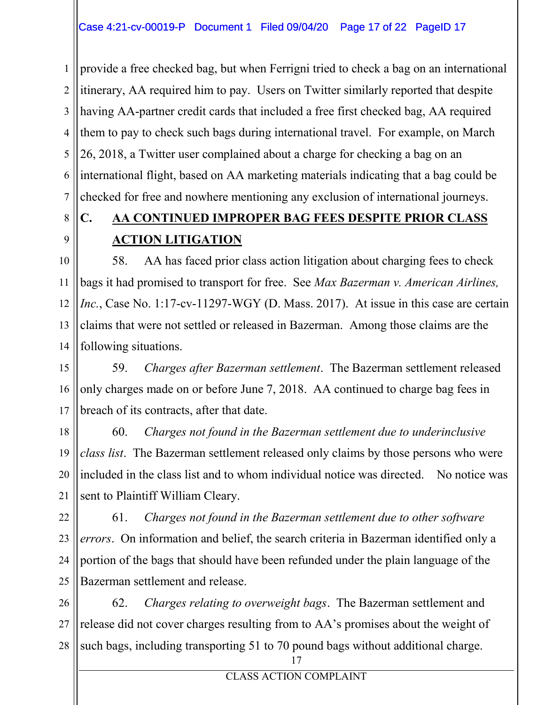1 2 3 4 5 6 7 provide a free checked bag, but when Ferrigni tried to check a bag on an international itinerary, AA required him to pay. Users on Twitter similarly reported that despite having AA-partner credit cards that included a free first checked bag, AA required them to pay to check such bags during international travel. For example, on March 26, 2018, a Twitter user complained about a charge for checking a bag on an international flight, based on AA marketing materials indicating that a bag could be checked for free and nowhere mentioning any exclusion of international journeys.

#### 8 9 **C. AA CONTINUED IMPROPER BAG FEES DESPITE PRIOR CLASS ACTION LITIGATION**

10 11 12 13 14 58. AA has faced prior class action litigation about charging fees to check bags it had promised to transport for free. See *Max Bazerman v. American Airlines, Inc.*, Case No. 1:17-cv-11297-WGY (D. Mass. 2017). At issue in this case are certain claims that were not settled or released in Bazerman. Among those claims are the following situations.

15 16 17 59. *Charges after Bazerman settlement*. The Bazerman settlement released only charges made on or before June 7, 2018. AA continued to charge bag fees in breach of its contracts, after that date.

18 19 20 21 60. *Charges not found in the Bazerman settlement due to underinclusive class list*. The Bazerman settlement released only claims by those persons who were included in the class list and to whom individual notice was directed. No notice was sent to Plaintiff William Cleary.

22 23 24 25 61. *Charges not found in the Bazerman settlement due to other software errors*. On information and belief, the search criteria in Bazerman identified only a portion of the bags that should have been refunded under the plain language of the Bazerman settlement and release.

26 27 28 62. *Charges relating to overweight bags*. The Bazerman settlement and release did not cover charges resulting from to AA's promises about the weight of such bags, including transporting 51 to 70 pound bags without additional charge.

<sup>17</sup>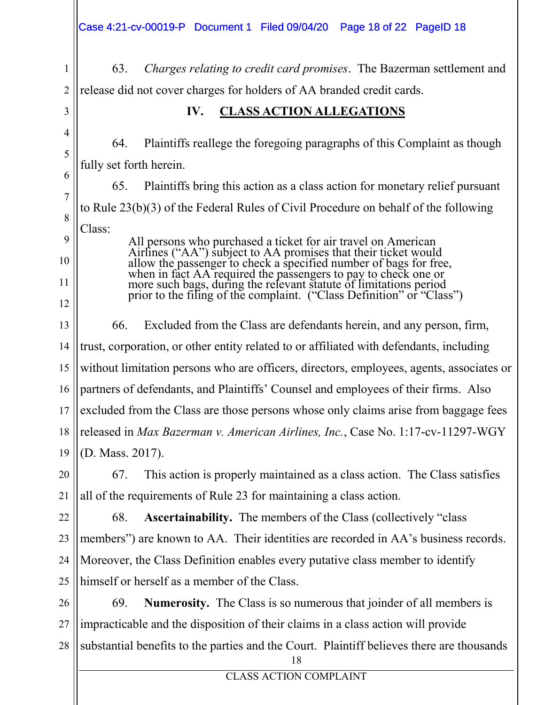3

7

8

9

10

11

12

1 2 63. *Charges relating to credit card promises*. The Bazerman settlement and release did not cover charges for holders of AA branded credit cards.

**IV. CLASS ACTION ALLEGATIONS**

4 5 6 64. Plaintiffs reallege the foregoing paragraphs of this Complaint as though fully set forth herein.

65. Plaintiffs bring this action as a class action for monetary relief pursuant to Rule 23(b)(3) of the Federal Rules of Civil Procedure on behalf of the following Class:

> All persons who purchased a ticket for air travel on American Airlines ("AA") subject to AA promises that their ticket would allow the passenger to check a specified number of bags for free, when in fact AA required the passengers to pay to check one or more such bags, during the relevant statute of limitations period prior to the filing of the complaint. ("Class Definition" or "Class")

13 14 15 16 17 18 19 66. Excluded from the Class are defendants herein, and any person, firm, trust, corporation, or other entity related to or affiliated with defendants, including without limitation persons who are officers, directors, employees, agents, associates or partners of defendants, and Plaintiffs' Counsel and employees of their firms. Also excluded from the Class are those persons whose only claims arise from baggage fees released in *Max Bazerman v. American Airlines, Inc.*, Case No. 1:17-cv-11297-WGY (D. Mass. 2017).

20 21 67. This action is properly maintained as a class action. The Class satisfies all of the requirements of Rule 23 for maintaining a class action.

22 23 24 25 68. **Ascertainability.** The members of the Class (collectively "class" members") are known to AA. Their identities are recorded in AA's business records. Moreover, the Class Definition enables every putative class member to identify himself or herself as a member of the Class.

26 27 28 69. **Numerosity.** The Class is so numerous that joinder of all members is impracticable and the disposition of their claims in a class action will provide substantial benefits to the parties and the Court. Plaintiff believes there are thousands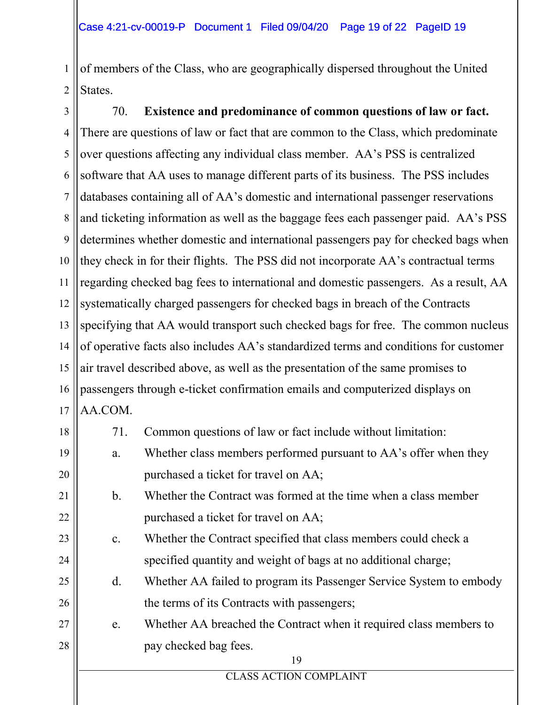1 2 of members of the Class, who are geographically dispersed throughout the United States.

3 4 5 6 7 8 9 10 11 12 13 14 15 16 17 70. **Existence and predominance of common questions of law or fact.** There are questions of law or fact that are common to the Class, which predominate over questions affecting any individual class member. AA's PSS is centralized software that AA uses to manage different parts of its business. The PSS includes databases containing all of AA's domestic and international passenger reservations and ticketing information as well as the baggage fees each passenger paid. AA's PSS determines whether domestic and international passengers pay for checked bags when they check in for their flights. The PSS did not incorporate AA's contractual terms regarding checked bag fees to international and domestic passengers. As a result, AA systematically charged passengers for checked bags in breach of the Contracts specifying that AA would transport such checked bags for free. The common nucleus of operative facts also includes AA's standardized terms and conditions for customer air travel described above, as well as the presentation of the same promises to passengers through e-ticket confirmation emails and computerized displays on AA.COM.

| 18 | 71.                           | Common questions of law or fact include without limitation:         |  |  |  |
|----|-------------------------------|---------------------------------------------------------------------|--|--|--|
| 19 | a.                            | Whether class members performed pursuant to AA's offer when they    |  |  |  |
| 20 |                               | purchased a ticket for travel on AA;                                |  |  |  |
| 21 | $\mathbf b$ .                 | Whether the Contract was formed at the time when a class member     |  |  |  |
| 22 |                               | purchased a ticket for travel on AA;                                |  |  |  |
| 23 | $\mathbf{c}$ .                | Whether the Contract specified that class members could check a     |  |  |  |
| 24 |                               | specified quantity and weight of bags at no additional charge;      |  |  |  |
| 25 | $d_{\cdot}$                   | Whether AA failed to program its Passenger Service System to embody |  |  |  |
| 26 |                               | the terms of its Contracts with passengers;                         |  |  |  |
| 27 | e.                            | Whether AA breached the Contract when it required class members to  |  |  |  |
| 28 |                               | pay checked bag fees.                                               |  |  |  |
|    |                               | 19                                                                  |  |  |  |
|    | <b>CLASS ACTION COMPLAINT</b> |                                                                     |  |  |  |
|    |                               |                                                                     |  |  |  |
|    |                               |                                                                     |  |  |  |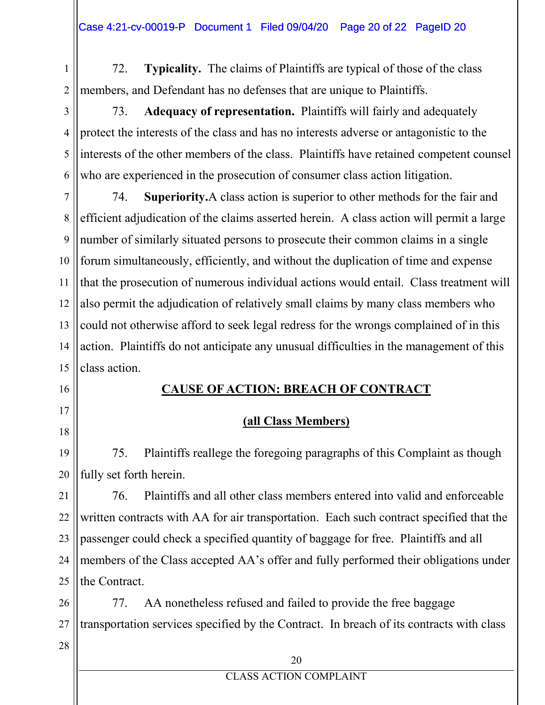1 2 72. **Typicality.** The claims of Plaintiffs are typical of those of the class members, and Defendant has no defenses that are unique to Plaintiffs.

3 4 5 6 73. **Adequacy of representation.** Plaintiffs will fairly and adequately protect the interests of the class and has no interests adverse or antagonistic to the interests of the other members of the class. Plaintiffs have retained competent counsel who are experienced in the prosecution of consumer class action litigation.

7 8 9 10 11 12 13 14 15 74. **Superiority.**A class action is superior to other methods for the fair and efficient adjudication of the claims asserted herein. A class action will permit a large number of similarly situated persons to prosecute their common claims in a single forum simultaneously, efficiently, and without the duplication of time and expense that the prosecution of numerous individual actions would entail. Class treatment will also permit the adjudication of relatively small claims by many class members who could not otherwise afford to seek legal redress for the wrongs complained of in this action. Plaintiffs do not anticipate any unusual difficulties in the management of this class action.

16

17

18

**CAUSE OF ACTION: BREACH OF CONTRACT**

### **(all Class Members)**

19 20 75. Plaintiffs reallege the foregoing paragraphs of this Complaint as though fully set forth herein.

21 22 23 24 25 76. Plaintiffs and all other class members entered into valid and enforceable written contracts with AA for air transportation. Each such contract specified that the passenger could check a specified quantity of baggage for free. Plaintiffs and all members of the Class accepted AA's offer and fully performed their obligations under the Contract.

26 27 77. AA nonetheless refused and failed to provide the free baggage transportation services specified by the Contract. In breach of its contracts with class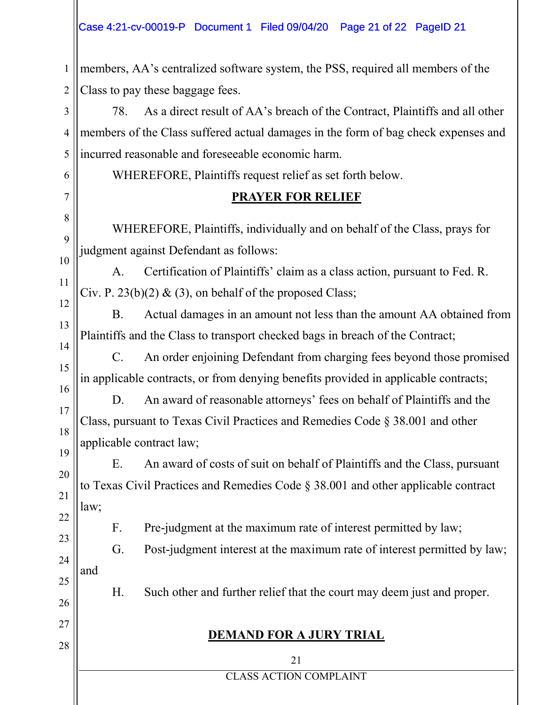#### Case 4:21-cv-00019-P Document 1 Filed 09/04/20 Page 21 of 22 PageID 21

1 2 members, AA's centralized software system, the PSS, required all members of the Class to pay these baggage fees.

3 4 5 78. As a direct result of AA's breach of the Contract, Plaintiffs and all other members of the Class suffered actual damages in the form of bag check expenses and incurred reasonable and foreseeable economic harm.

WHEREFORE, Plaintiffs request relief as set forth below.

6

7

8

9

10

11

12

13

14

15

16

17

18

26

27

28

### **PRAYER FOR RELIEF**

WHEREFORE, Plaintiffs, individually and on behalf of the Class, prays for judgment against Defendant as follows:

A. Certification of Plaintiffs' claim as a class action, pursuant to Fed. R. Civ. P. 23(b)(2)  $\&$  (3), on behalf of the proposed Class;

B. Actual damages in an amount not less than the amount AA obtained from Plaintiffs and the Class to transport checked bags in breach of the Contract;

C. An order enjoining Defendant from charging fees beyond those promised in applicable contracts, or from denying benefits provided in applicable contracts;

D. An award of reasonable attorneys' fees on behalf of Plaintiffs and the Class, pursuant to Texas Civil Practices and Remedies Code § 38.001 and other applicable contract law;

19 20 21 22 E. An award of costs of suit on behalf of Plaintiffs and the Class, pursuant to Texas Civil Practices and Remedies Code § 38.001 and other applicable contract law;

F. Pre-judgment at the maximum rate of interest permitted by law;

23 24 25 G. Post-judgment interest at the maximum rate of interest permitted by law; and

H. Such other and further relief that the court may deem just and proper.

### **DEMAND FOR A JURY TRIAL**

21

CLASS ACTION COMPLAINT